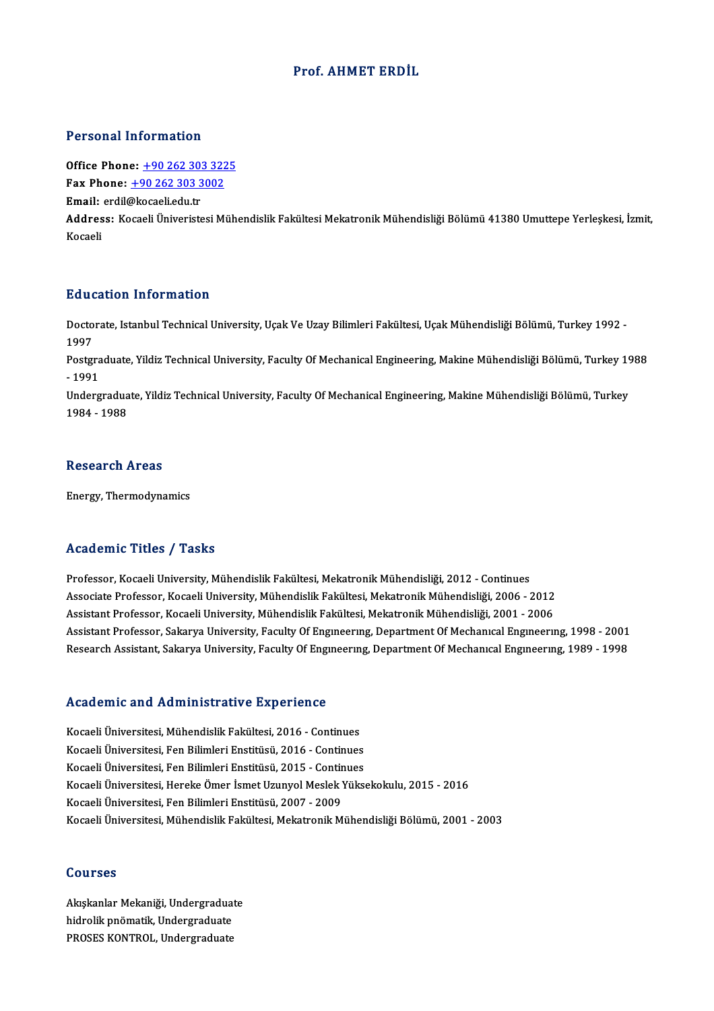### Prof. AHMET ERDİL

### Personal Information

**Personal Information<br>Office Phone: +90 262 303 3225<br>Fax Phone: +90 262 202 2002** Fax Phone: <u>+90 262 303 322</u><br>Fax Phone: <u>+90 262 303 3002</u><br>Email: erdil@lreceeliedu.tr Office Phone: <u>+90 262 303</u><br>Fax Phone: <u>+90 262 303 3</u><br>Email: erdil[@kocaeli.edu.tr](tel:+90 262 303 3002)

Email: erdil@kocaeli edu.tr

Fax Phone: <u>+90 262 303 3002</u><br>Email: erdil@kocaeli.edu.tr<br>Address: Kocaeli Üniveristesi Mühendislik Fakültesi Mekatronik Mühendisliği Bölümü 41380 Umuttepe Yerleşkesi, İzmit,<br>Kocaeli

### Education Information

**Education Information**<br>Doctorate, Istanbul Technical University, Uçak Ve Uzay Bilimleri Fakültesi, Uçak Mühendisliği Bölümü, Turkey 1992 -<br>1997 But<br>Docto<br>1997<br><sup>Bosto</sup> Doctorate, Istanbul Technical University, Uçak Ve Uzay Bilimleri Fakültesi, Uçak Mühendisliği Bölümü, Turkey 1992<br>1997<br>Postgraduate, Yildiz Technical University, Faculty Of Mechanical Engineering, Makine Mühendisliği Bölüm

1997<br>Postgra<br>- 1991<br>Underg Postgraduate, Yildiz Technical University, Faculty Of Mechanical Engineering, Makine Mühendisliği Bölümü, Turkey 19<br>- 1991<br>Undergraduate, Yildiz Technical University, Faculty Of Mechanical Engineering, Makine Mühendisliği

- 1991<br>Undergraduate, Yildiz Technical University, Faculty Of Mechanical Engineering, Makine Mühendisliği Bölümü, Turkey<br>1984 - 1988

### **Research Areas**

Energy,Thermodynamics

### Academic Titles / Tasks

Professor, Kocaeli University, Mühendislik Fakültesi, Mekatronik Mühendisliği, 2012 - Continues Associate Artice 7 Austri<br>Professor, Kocaeli University, Mühendislik Fakültesi, Mekatronik Mühendisliği, 2012 - Continues<br>Associate Professor, Kocaeli University, Mühendislik Fakültesi, Mekatronik Mühendisliği, 2006 - 2012 Professor, Kocaeli University, Mühendislik Fakültesi, Mekatronik Mühendisliği, 2012 - Continues<br>Associate Professor, Kocaeli University, Mühendislik Fakültesi, Mekatronik Mühendisliği, 2006 - 2012<br>Assistant Professor, Koca Assistant Professor, Kocaeli University, Mühendislik Fakültesi, Mekatronik Mühendisliği, 2001 - 2006<br>Assistant Professor, Sakarya University, Faculty Of Engıneerıng, Department Of Mechanıcal Engıneerıng, 1998 - 2001 Research Assistant, Sakarya University, Faculty Of Engineering, Department Of Mechanical Engineering, 1989 - 1998

# Research Assistant, Sakarya University, Pacuity Of Engi<br>Academic and Administrative Experience

Academic and Administrative Experience<br>Kocaeli Üniversitesi, Mühendislik Fakültesi, 2016 - Continues<br>Kocaeli Üniversitesi, Een Bilimleri Enstitüsü, 2016 - Continues Kocaeli Üniversitesi, Mühendislik Fakültesi, 2016 - Continues<br>Kocaeli Üniversitesi, Fen Bilimleri Enstitüsü, 2016 - Continues<br>Kocaeli Üniversitesi, Fen Bilimleri Enstitüsü, 2015 - Continues Kocaeli Üniversitesi, Mühendislik Fakültesi, 2016 - Continues<br>Kocaeli Üniversitesi, Fen Bilimleri Enstitüsü, 2016 - Continues<br>Kocaeli Üniversitesi, Fen Bilimleri Enstitüsü, 2015 - Continues<br>Kocaeli Üniversitesi, Hereke Öme Kocaeli Üniversitesi, Hereke Ömer İsmet Uzunyol Meslek Yüksekokulu, 2015 - 2016<br>Kocaeli Üniversitesi, Fen Bilimleri Enstitüsü, 2007 - 2009 Kocaeli Üniversitesi, Fen Bilimleri Enstitüsü, 2015 - Continues Kocaeli Üniversitesi, Mühendislik Fakültesi, Mekatronik Mühendisliği Bölümü, 2001 - 2003

### Courses

**Courses<br>Akışkanlar Mekaniği, Undergraduate<br>hidrolik ppömatik, Undergraduate** dourses<br>Akışkanlar Mekaniği, Undergraduat<br>hidrolik pnömatik, Undergraduate<br>PROSES KONTROL, Undergraduate hidrolik pnömatik, Undergraduate<br>PROSES KONTROL, Undergraduate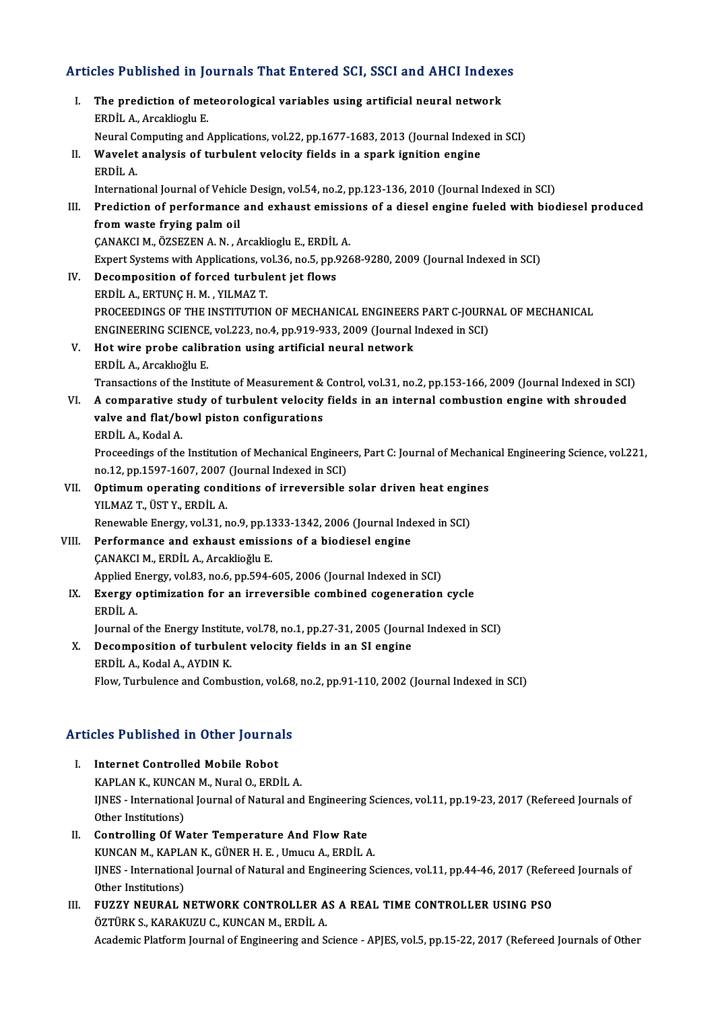# Articles Published in Journals That Entered SCI, SSCI and AHCI Indexes

| Articles Published in Journals That Entered SCI, SSCI and AHCI Indexes |                                                                                                                     |
|------------------------------------------------------------------------|---------------------------------------------------------------------------------------------------------------------|
| L.                                                                     | The prediction of meteorological variables using artificial neural network<br>ERDİL A., Arcaklioglu E.              |
|                                                                        | Neural Computing and Applications, vol.22, pp.1677-1683, 2013 (Journal Indexed in SCI)                              |
| П.                                                                     | Wavelet analysis of turbulent velocity fields in a spark ignition engine<br>ERDİL A.                                |
|                                                                        | International Journal of Vehicle Design, vol.54, no.2, pp.123-136, 2010 (Journal Indexed in SCI)                    |
| III.                                                                   | Prediction of performance and exhaust emissions of a diesel engine fueled with biodiesel produced                   |
|                                                                        | from waste frying palm oil                                                                                          |
|                                                                        | ÇANAKCI M., ÖZSEZEN A. N., Arcaklioglu E., ERDİL A.                                                                 |
|                                                                        | Expert Systems with Applications, vol.36, no.5, pp.9268-9280, 2009 (Journal Indexed in SCI)                         |
| IV.                                                                    | Decomposition of forced turbulent jet flows                                                                         |
|                                                                        | ERDIL A., ERTUNÇ H. M., YILMAZ T.                                                                                   |
|                                                                        | PROCEEDINGS OF THE INSTITUTION OF MECHANICAL ENGINEERS PART C-JOURNAL OF MECHANICAL                                 |
|                                                                        | ENGINEERING SCIENCE, vol.223, no.4, pp.919-933, 2009 (Journal Indexed in SCI)                                       |
| V.                                                                     | Hot wire probe calibration using artificial neural network                                                          |
|                                                                        | ERDİL A., Arcaklıoğlu E.                                                                                            |
|                                                                        | Transactions of the Institute of Measurement & Control, vol.31, no.2, pp.153-166, 2009 (Journal Indexed in SCI)     |
| VI.                                                                    | A comparative study of turbulent velocity fields in an internal combustion engine with shrouded                     |
|                                                                        | valve and flat/bowl piston configurations                                                                           |
|                                                                        | ERDİL A., Kodal A.                                                                                                  |
|                                                                        | Proceedings of the Institution of Mechanical Engineers, Part C: Journal of Mechanical Engineering Science, vol.221, |
|                                                                        | no.12, pp.1597-1607, 2007 (Journal Indexed in SCI)                                                                  |
| VII.                                                                   | Optimum operating conditions of irreversible solar driven heat engines<br>YILMAZ T., ÜST Y., ERDİL A.               |
|                                                                        | Renewable Energy, vol.31, no.9, pp.1333-1342, 2006 (Journal Indexed in SCI)                                         |
| VIII.                                                                  | Performance and exhaust emissions of a biodiesel engine                                                             |
|                                                                        | ÇANAKCI M., ERDİL A., Arcaklioğlu E.                                                                                |
|                                                                        | Applied Energy, vol.83, no.6, pp.594-605, 2006 (Journal Indexed in SCI)                                             |
|                                                                        | IX. Exergy optimization for an irreversible combined cogeneration cycle                                             |
|                                                                        | ERDIL A.                                                                                                            |
|                                                                        | Journal of the Energy Institute, vol.78, no.1, pp.27-31, 2005 (Journal Indexed in SCI)                              |
| X.                                                                     | Decomposition of turbulent velocity fields in an SI engine                                                          |
|                                                                        | ERDİL A, Kodal A, AYDIN K                                                                                           |
|                                                                        | Flow, Turbulence and Combustion, vol.68, no.2, pp.91-110, 2002 (Journal Indexed in SCI)                             |
|                                                                        | <b>Articles Published in Other Journals</b>                                                                         |
|                                                                        |                                                                                                                     |

### The Published in Other Journa<br>I. Internet Controlled Mobile Robot<br>KAPLAN K. KUNGAN M. Nural O. EPD I. Internet Controlled Mobile Robot<br>KAPLAN K., KUNCAN M., Nural O., ERDİL A. Internet Controlled Mobile Robot<br>KAPLAN K., KUNCAN M., Nural O., ERDİL A.<br>IJNES - International Journal of Natural and Engineering Sciences, vol.11, pp.19-23, 2017 (Refereed Journals of<br>Other Institutions) KAPLAN K., KUNCA<br>IJNES - Internations<br>Other Institutions)<br>Controlling Of W. IJNES - International Journal of Natural and Engineering<br>Other Institutions)<br>II. Controlling Of Water Temperature And Flow Rate<br>KINCAN M, KABLAN K, CÜNER H, E. Umugu A, ERDİLA Other Institutions)<br>Controlling Of Water Temperature And Flow Rate<br>KUNCAN M., KAPLAN K., GÜNER H. E. , Umucu A., ERDİL A.<br>UNES. International Journal of Natural and Engineering S. Controlling Of Water Temperature And Flow Rate<br>KUNCAN M., KAPLAN K., GÜNER H. E. , Umucu A., ERDİL A.<br>IJNES - International Journal of Natural and Engineering Sciences, vol.11, pp.44-46, 2017 (Refereed Journals of<br>Other In KUNCAN M., KAPLA<br>IJNES - Internations<br>Other Institutions)<br>FUZZY NEUPAL N Other Institutions)<br>III. FUZZY NEURAL NETWORK CONTROLLER AS A REAL TIME CONTROLLER USING PSO

ÖZTÜRK S., KARAKUZU C., KUNCAN M., ERDİL A. Academic Platform Journal of Engineering and Science - APJES, vol.5, pp.15-22, 2017 (Refereed Journals of Other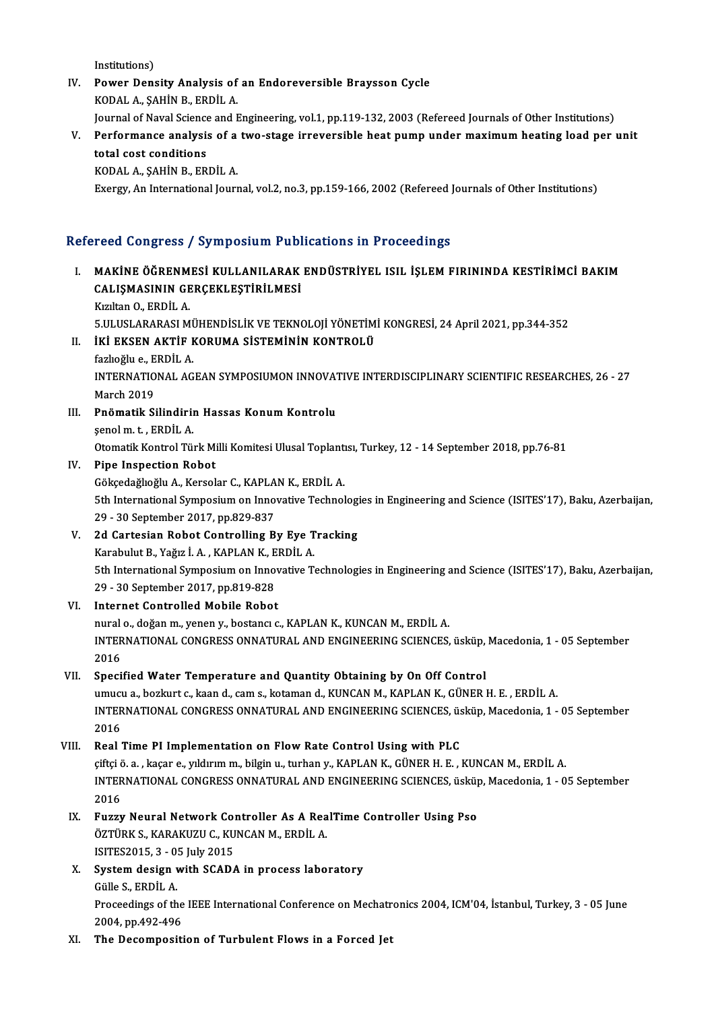Institutions)

- IV. Power Density Analysis of an Endoreversible Braysson Cycle KODAL A., ŞAHİN B., ERDİL A. Power Density Analysis of an Endoreversible Braysson Cycle<br>KODAL A., ŞAHİN B., ERDİL A.<br>Journal of Naval Science and Engineering, vol.1, pp.119-132, 2003 (Refereed Journals of Other Institutions)<br>Performance analysis of a
- V. Performance analysis of a two-stage irreversible heat pump under maximumheating load per unit **Journal of Naval Science<br>Performance analysi:<br>total cost conditions<br>KODAL A SAHIN B EB**

KODAL A., ŞAHİN B., ERDİL A.

Exergy, An International Journal, vol.2, no.3, pp.159-166, 2002 (Refereed Journals of Other Institutions)

### Refereed Congress / Symposium Publications in Proceedings

efereed Congress / Symposium Publications in Proceedings<br>I. MAKİNE ÖĞRENMESİ KULLANILARAK ENDÜSTRİYEL ISIL İŞLEM FIRININDA KESTİRİMCİ BAKIM<br>CALISMASININ CERCEKI ESTİRİLMESİ YOCU QONGI OSP YAYAN DONUM YUSI<br>MAKİNE ÖĞRENMESİ KULLANILARAK<br>CALIŞMASININ GERÇEKLEŞTİRİLMESİ MAKİNE ÖĞRENM<br>CALIŞMASININ GE<br>Kızıltan O., ERDİL A.<br>E III USLARASI M CALIŞMASININ GERÇEKLEŞTİRİLMESİ<br>Kızıltan O., ERDİL A.<br>5.ULUSLARARASI MÜHENDİSLİK VE TEKNOLOJİ YÖNETİMİ KONGRESİ, 24 April 2021, pp.344-352<br>İKİ EKSEN AKTİE KORUMA SİSTEMİNİN KONTROLÜ

## Kızıltan O., ERDİL A.<br>5.ULUSLARARASI MÜHENDİSLİK VE TEKNOLOJİ YÖNETİM<br>II. İKİ EKSEN AKTİF KORUMA SİSTEMİNİN KONTROLÜ<br>farkoğlu o. ERDİL A

5.ULUSLARARASI Mİ<br>İKİ EKSEN AKTİF F<br>fazlıoğlu e., ERDİL A.<br>INTERNATIONAL AC

INTERNATIONALAGEANSYMPOSIUMONINNOVATIVEINTERDISCIPLINARYSCIENTIFICRESEARCHES,26 -27 March 2019

III. Pnömatik Silindirin Hassas Konum Kontrolu şenolm. t. ,ERDİLA. Pnömatik Silindirin Hassas Konum Kontrolu<br>şenol m. t. , ERDİL A.<br>Otomatik Kontrol Türk Milli Komitesi Ulusal Toplantısı, Turkey, 12 - 14 September 2018, pp.76-81<br>Pine Inspection Bobet

## IV. Pipe Inspection Robot Otomatik Kontrol Türk Milli Komitesi Ulusal Toplant<br>Pipe Inspection Robot<br>Gökçedağlıoğlu A., Kersolar C., KAPLAN K., ERDİL A.<br>Eth International Sumnesium en Inneuative Technel

Pipe Inspection Robot<br>Gökçedağlıoğlu A., Kersolar C., KAPLAN K., ERDİL A.<br>5th International Symposium on Innovative Technologies in Engineering and Science (ISITES'17), Baku, Azerbaijan,<br>29 - 30 September 2017, pp.929-927 Gökçedağlıoğlu A., Kersolar C., KAPLA<br>5th International Symposium on Inno<br>29 - 30 September 2017, pp.829-837<br>24 Cartesian Bobat Controlling B. 5th International Symposium on Innovative Technologi<br>
29 - 30 September 2017, pp.829-837<br>
V. 2d Cartesian Robot Controlling By Eye Tracking<br>
V. Sarabulut B. Vağız İ.A., KABLAN V. EBDİLA

29 - 30 September 2017, pp.829-837<br>V. 2d Cartesian Robot Controlling By Eye Tracking<br>Karabulut B., Yağız İ.A., KAPLAN K., ERDİL A. 2d Cartesian Robot Controlling By Eye Tracking<br>Karabulut B., Yağız İ. A. , KAPLAN K., ERDİL A.<br>5th International Symposium on Innovative Technologies in Engineering and Science (ISITES'17), Baku, Azerbaijan,<br>29 - 30 Septem Karabulut B., Yağız İ. A. , KAPLAN K., E<br>5th International Symposium on Inno<br>29 - 30 September 2017, pp.819-828<br>Internat Controlled Mobile Bobot 29 - 30 September 2017, pp.819-828<br>VI. Internet Controlled Mobile Robot

nural o., doğan m., yenen y., bostancı c., KAPLAN K., KUNCAN M., ERDİL A. Internet Controlled Mobile Robot<br>nural o., doğan m., yenen y., bostancı c., KAPLAN K., KUNCAN M., ERDİL A.<br>INTERNATIONAL CONGRESS ONNATURAL AND ENGINEERING SCIENCES, üsküp, Macedonia, 1 - 05 September<br>2016 nural<br>INTER<br>2016<br>Speci 2016<br>VII. Specified Water Temperature and Quantity Obtaining by On Off Control

2016<br>Specified Water Temperature and Quantity Obtaining by On Off Control<br>umucu a., bozkurt c., kaan d., cam s., kotaman d., KUNCAN M., KAPLAN K., GÜNER H. E. , ERDİL A.<br>INTERNATIONAL CONCRESS ONNATURAL AND ENCINEERING SCI INTERNATIONAL CONGRESS ONNATURAL AND ENGINEERING SCIENCES, üsküp, Macedonia, 1 - 05 September<br>2016 umuci<br>INTER<br>2016<br>Beal

### VIII. Real Time PI Implementation on Flow Rate Control Using with PLC

çiftçiö.a. ,kaçar e.,yıldırımm.,bilginu., turhany.,KAPLANK.,GÜNERH.E. ,KUNCANM.,ERDİLA. Real Time PI Implementation on Flow Rate Control Using with PLC<br>çiftçi ö. a. , kaçar e., yıldırım m., bilgin u., turhan y., KAPLAN K., GÜNER H. E. , KUNCAN M., ERDİL A.<br>INTERNATIONAL CONGRESS ONNATURAL AND ENGINEERING SCIE çiftçi<br>INTER<br>2016<br>Eugen INTERNATIONAL CONGRESS ONNATURAL AND ENGINEERING SCIENCES, üsküp<br>2016<br>IX. Fuzzy Neural Network Controller As A RealTime Controller Using Pso

2016<br>Fuzzy Neural Network Controller As A Rea<br>ÖZTÜRK S., KARAKUZU C., KUNCAN M., ERDİL A.<br>ISITES2015-3- OE Iuly 2015 Fuzzy Neural Network Co<br>ÖZTÜRK S., KARAKUZU C., KU<br>ISITES2015, 3 - 05 July 2015<br>System dosian with SGAD ( ÖZTÜRK S., KARAKUZU C., KUNCAN M., ERDİL A.<br>ISITES2015, 3 - 05 July 2015<br>X. System design with SCADA in process laboratory<br>Cülle S. EPDİL A.

## ISITES2015, 3 - 0!<br>System design<br>Gülle S., ERDİL A.<br>Proseedinge of th

System design with SCADA in process laboratory<br>Gülle S., ERDİL A.<br>Proceedings of the IEEE International Conference on Mechatronics 2004, ICM'04, İstanbul, Turkey, 3 - 05 June<br>2004, np.492,496 Gülle S., ERDİL A.<br>Proceedings of the<br>2004, pp.492-496<br>The Desermositi

## XI. The Decomposition of Turbulent Flows in a Forced Jet